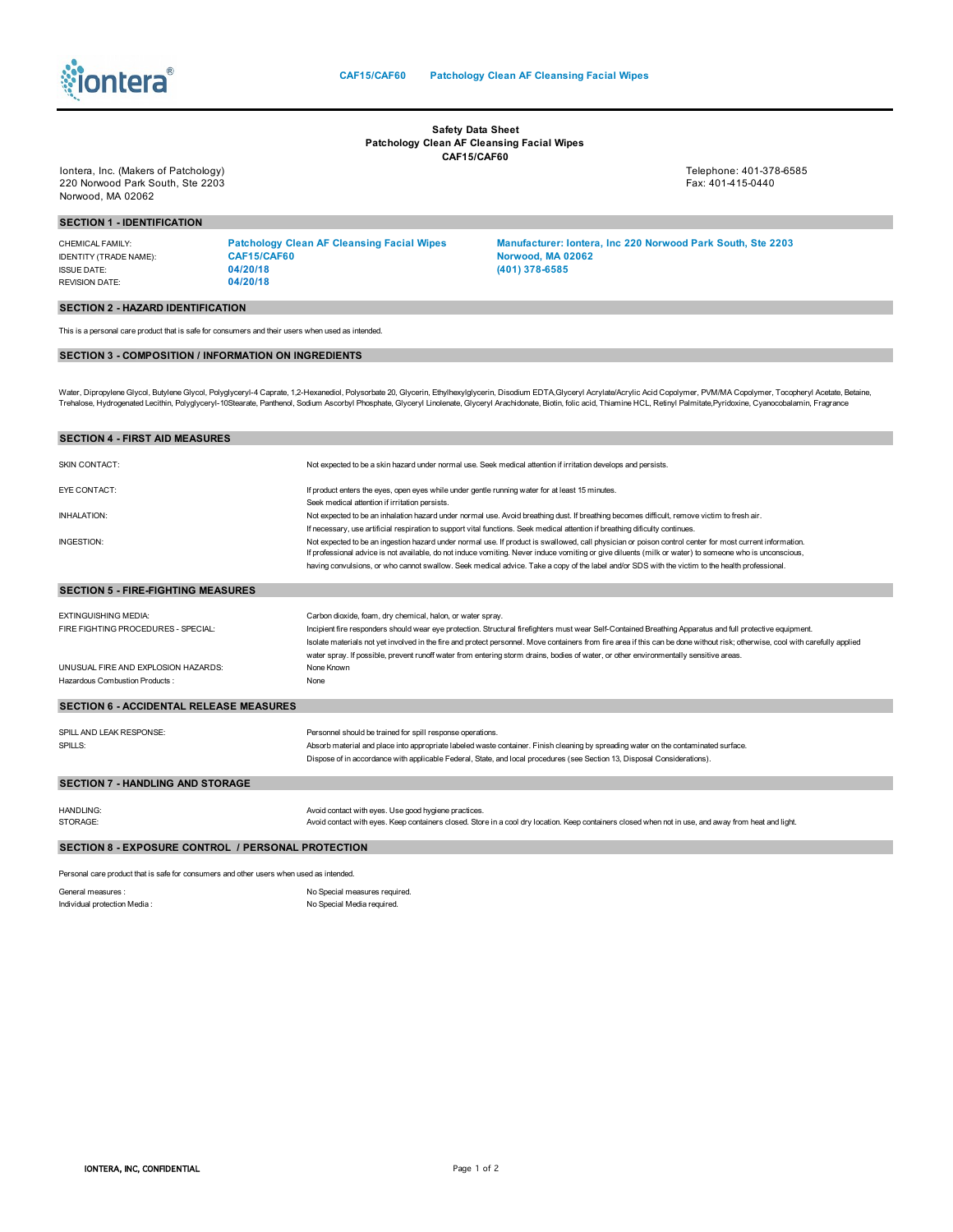

## **Safety Data Sheet Patchology Clean AF Cleansing Facial Wipes CAF15/CAF60**

Iontera, Inc. (Makers of Patchology) Telephone: 401-378-6585 220 Norwood Park South, Ste 2203 Fax: 401-415-0440 Norwood, MA 02062

## **SECTION 1 - IDENTIFICATION**

| CHEMICAL FAMILY:       | <b>Patchology Clean AF Cleansing Facial Wipes</b> | <b>Manufacturer: lontera. Inc 220 Norwood Park South. Ste 2203</b> |
|------------------------|---------------------------------------------------|--------------------------------------------------------------------|
| IDENTITY (TRADE NAME): | CAF15/CAF60                                       | Norwood, MA 02062                                                  |
| ISSUE DATE:            | 04/20/18                                          | (401) 378-6585                                                     |
| <b>REVISION DATE:</b>  | 04/20/18                                          |                                                                    |

## **SECTION 2 - HAZARD IDENTIFICATION**

This is a personal care product that is safe for consumers and their users when used as intended.

## **SECTION 3 - COMPOSITION / INFORMATION ON INGREDIENTS**

Water, Dipropylene Glycol, Butylene Glycol, Polyglyceryl-4 Caprate, 1,2-Hexanediol, Polysorbate 20, Glycerin, Ethylhexylglycerin, Disodium EDTA,Glyceryl Acrylate/Acrylic Acid Copolymer, PWMMA Copolymer, Tocopheryl Acetate,

| <b>SECTION 4 - FIRST AID MEASURES</b>                                                   |                                                                                                                                                                                                                                                                                                                   |  |
|-----------------------------------------------------------------------------------------|-------------------------------------------------------------------------------------------------------------------------------------------------------------------------------------------------------------------------------------------------------------------------------------------------------------------|--|
| <b>SKIN CONTACT:</b>                                                                    | Not expected to be a skin hazard under normal use. Seek medical attention if irritation develops and persists.                                                                                                                                                                                                    |  |
| EYE CONTACT:                                                                            | If product enters the eyes, open eyes while under gentle running water for at least 15 minutes.                                                                                                                                                                                                                   |  |
|                                                                                         | Seek medical attention if irritation persists.                                                                                                                                                                                                                                                                    |  |
| <b>INHALATION:</b>                                                                      | Not expected to be an inhalation hazard under normal use. Avoid breathing dust. If breathing becomes difficult, remove victim to fresh air.                                                                                                                                                                       |  |
|                                                                                         | If necessary, use artificial respiration to support vital functions. Seek medical attention if breathing dificulty continues.                                                                                                                                                                                     |  |
| INGESTION:                                                                              | Not expected to be an ingestion hazard under normal use. If product is swallowed, call physician or poison control center for most current information.<br>If professional advice is not available, do not induce vomiting. Never induce vomiting or give diluents (milk or water) to someone who is unconscious, |  |
|                                                                                         | having convulsions, or who cannot swallow. Seek medical advice. Take a copy of the label and/or SDS with the victim to the health professional.                                                                                                                                                                   |  |
| <b>SECTION 5 - FIRE-FIGHTING MEASURES</b>                                               |                                                                                                                                                                                                                                                                                                                   |  |
| <b>EXTINGUISHING MEDIA:</b>                                                             | Carbon dioxide, foam, dry chemical, halon, or water spray.                                                                                                                                                                                                                                                        |  |
| FIRE FIGHTING PROCEDURES - SPECIAL:                                                     | Incipient fire responders should wear eye protection. Structural firefighters must wear Self-Contained Breathing Apparatus and full protective equipment.                                                                                                                                                         |  |
|                                                                                         | Isolate materials not yet involved in the fire and protect personnel. Move containers from fire area if this can be done without risk; otherwise, cool with carefully applied                                                                                                                                     |  |
|                                                                                         | water spray. If possible, prevent runoff water from entering storm drains, bodies of water, or other environmentally sensitive areas.                                                                                                                                                                             |  |
| UNUSUAL FIRE AND EXPLOSION HAZARDS:                                                     | None Known                                                                                                                                                                                                                                                                                                        |  |
| Hazardous Combustion Products:                                                          | None                                                                                                                                                                                                                                                                                                              |  |
| <b>SECTION 6 - ACCIDENTAL RELEASE MEASURES</b>                                          |                                                                                                                                                                                                                                                                                                                   |  |
| SPILL AND LEAK RESPONSE:                                                                | Personnel should be trained for spill response operations.                                                                                                                                                                                                                                                        |  |
| SPILLS:                                                                                 | Absorb material and place into appropriate labeled waste container. Finish cleaning by spreading water on the contaminated surface.                                                                                                                                                                               |  |
|                                                                                         | Dispose of in accordance with applicable Federal, State, and local procedures (see Section 13, Disposal Considerations).                                                                                                                                                                                          |  |
| <b>SECTION 7 - HANDLING AND STORAGE</b>                                                 |                                                                                                                                                                                                                                                                                                                   |  |
|                                                                                         |                                                                                                                                                                                                                                                                                                                   |  |
| <b>HANDLING:</b>                                                                        | Avoid contact with eyes. Use good hygiene practices.                                                                                                                                                                                                                                                              |  |
| STORAGE:                                                                                | Avoid contact with eyes. Keep containers closed. Store in a cool dry location. Keep containers closed when not in use, and away from heat and light.                                                                                                                                                              |  |
| <b>SECTION 8 - EXPOSURE CONTROL / PERSONAL PROTECTION</b>                               |                                                                                                                                                                                                                                                                                                                   |  |
| Personal care product that is safe for consumers and other users when used as intended. |                                                                                                                                                                                                                                                                                                                   |  |

General measures :<br>
Individual protection Media :<br>
Individual protection Media :<br>
No Special Media required. No Special Media required.